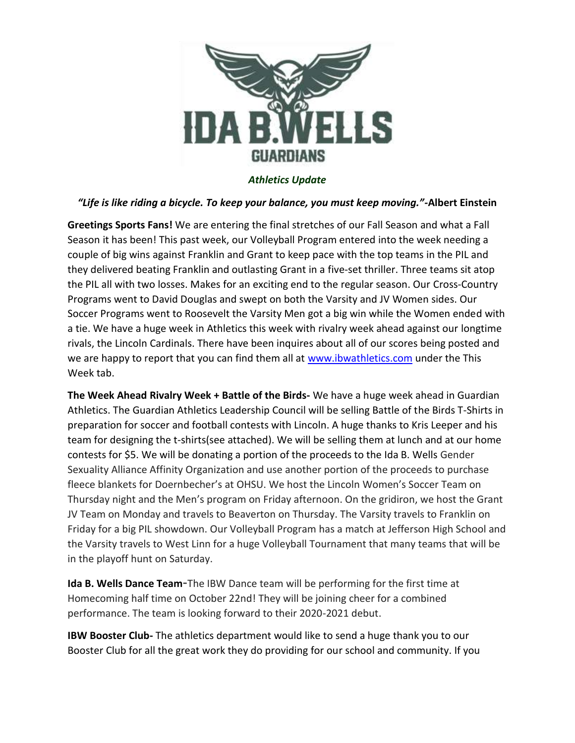

## *Athletics Update*

# *"Life is like riding a bicycle. To keep your balance, you must keep moving."-***Albert Einstein**

**Greetings Sports Fans!** We are entering the final stretches of our Fall Season and what a Fall Season it has been! This past week, our Volleyball Program entered into the week needing a couple of big wins against Franklin and Grant to keep pace with the top teams in the PIL and they delivered beating Franklin and outlasting Grant in a five-set thriller. Three teams sit atop the PIL all with two losses. Makes for an exciting end to the regular season. Our Cross-Country Programs went to David Douglas and swept on both the Varsity and JV Women sides. Our Soccer Programs went to Roosevelt the Varsity Men got a big win while the Women ended with a tie. We have a huge week in Athletics this week with rivalry week ahead against our longtime rivals, the Lincoln Cardinals. There have been inquires about all of our scores being posted and we are happy to report that you can find them all at [www.ibwathletics.com](http://www.ibwathletics.com/) under the This Week tab.

**The Week Ahead Rivalry Week + Battle of the Birds-** We have a huge week ahead in Guardian Athletics. The Guardian Athletics Leadership Council will be selling Battle of the Birds T-Shirts in preparation for soccer and football contests with Lincoln. A huge thanks to Kris Leeper and his team for designing the t-shirts(see attached). We will be selling them at lunch and at our home contests for \$5. We will be donating a portion of the proceeds to the Ida B. Wells Gender Sexuality Alliance Affinity Organization and use another portion of the proceeds to purchase fleece blankets for Doernbecher's at OHSU. We host the Lincoln Women's Soccer Team on Thursday night and the Men's program on Friday afternoon. On the gridiron, we host the Grant JV Team on Monday and travels to Beaverton on Thursday. The Varsity travels to Franklin on Friday for a big PIL showdown. Our Volleyball Program has a match at Jefferson High School and the Varsity travels to West Linn for a huge Volleyball Tournament that many teams that will be in the playoff hunt on Saturday.

**Ida B. Wells Dance Team**-The IBW Dance team will be performing for the first time at Homecoming half time on October 22nd! They will be joining cheer for a combined performance. The team is looking forward to their 2020-2021 debut.

**IBW Booster Club-** The athletics department would like to send a huge thank you to our Booster Club for all the great work they do providing for our school and community. If you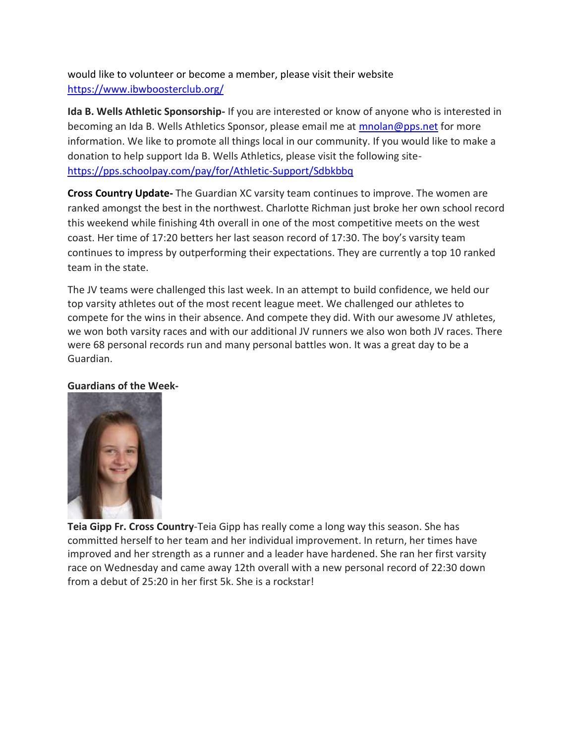would like to volunteer or become a member, please visit their website <https://www.ibwboosterclub.org/>

**Ida B. Wells Athletic Sponsorship-** If you are interested or know of anyone who is interested in becoming an Ida B. Wells Athletics Sponsor, please email me at **mnolan@pps.net** for more information. We like to promote all things local in our community. If you would like to make a donation to help support Ida B. Wells Athletics, please visit the following site<https://pps.schoolpay.com/pay/for/Athletic-Support/Sdbkbbq>

**Cross Country Update-** The Guardian XC varsity team continues to improve. The women are ranked amongst the best in the northwest. Charlotte Richman just broke her own school record this weekend while finishing 4th overall in one of the most competitive meets on the west coast. Her time of 17:20 betters her last season record of 17:30. The boy's varsity team continues to impress by outperforming their expectations. They are currently a top 10 ranked team in the state.

The JV teams were challenged this last week. In an attempt to build confidence, we held our top varsity athletes out of the most recent league meet. We challenged our athletes to compete for the wins in their absence. And compete they did. With our awesome JV athletes, we won both varsity races and with our additional JV runners we also won both JV races. There were 68 personal records run and many personal battles won. It was a great day to be a Guardian.

## **Guardians of the Week-**



**Teia Gipp Fr. Cross Country**-Teia Gipp has really come a long way this season. She has committed herself to her team and her individual improvement. In return, her times have improved and her strength as a runner and a leader have hardened. She ran her first varsity race on Wednesday and came away 12th overall with a new personal record of 22:30 down from a debut of 25:20 in her first 5k. She is a rockstar!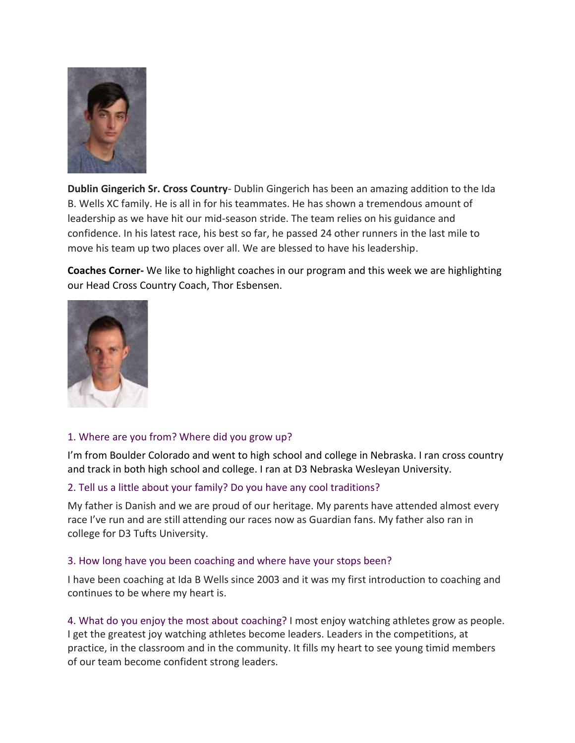

**Dublin Gingerich Sr. Cross Country**- Dublin Gingerich has been an amazing addition to the Ida B. Wells XC family. He is all in for his teammates. He has shown a tremendous amount of leadership as we have hit our mid-season stride. The team relies on his guidance and confidence. In his latest race, his best so far, he passed 24 other runners in the last mile to move his team up two places over all. We are blessed to have his leadership.

**Coaches Corner-** We like to highlight coaches in our program and this week we are highlighting our Head Cross Country Coach, Thor Esbensen.



# 1. Where are you from? Where did you grow up?

I'm from Boulder Colorado and went to high school and college in Nebraska. I ran cross country and track in both high school and college. I ran at D3 Nebraska Wesleyan University.

# 2. Tell us a little about your family? Do you have any cool traditions?

My father is Danish and we are proud of our heritage. My parents have attended almost every race I've run and are still attending our races now as Guardian fans. My father also ran in college for D3 Tufts University.

## 3. How long have you been coaching and where have your stops been?

I have been coaching at Ida B Wells since 2003 and it was my first introduction to coaching and continues to be where my heart is.

4. What do you enjoy the most about coaching? I most enjoy watching athletes grow as people. I get the greatest joy watching athletes become leaders. Leaders in the competitions, at practice, in the classroom and in the community. It fills my heart to see young timid members of our team become confident strong leaders.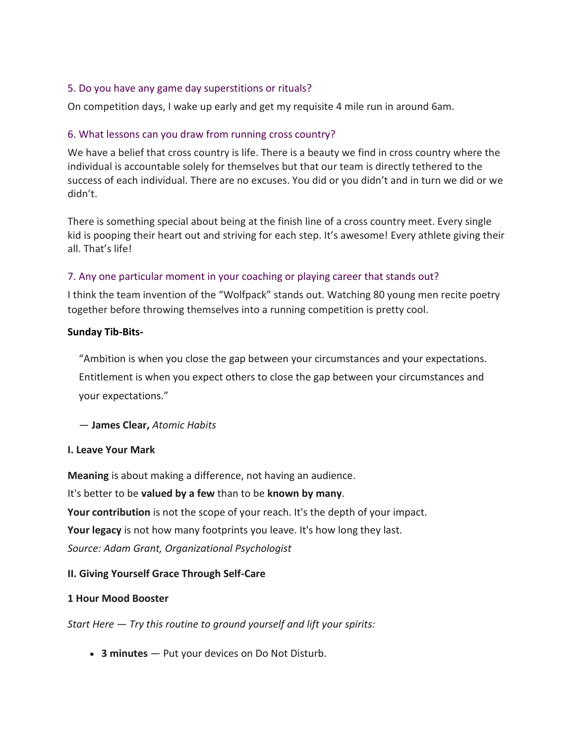## 5. Do you have any game day superstitions or rituals?

On competition days, I wake up early and get my requisite 4 mile run in around 6am.

# 6. What lessons can you draw from running cross country?

We have a belief that cross country is life. There is a beauty we find in cross country where the individual is accountable solely for themselves but that our team is directly tethered to the success of each individual. There are no excuses. You did or you didn't and in turn we did or we didn't.

There is something special about being at the finish line of a cross country meet. Every single kid is pooping their heart out and striving for each step. It's awesome! Every athlete giving their all. That's life!

## 7. Any one particular moment in your coaching or playing career that stands out?

I think the team invention of the "Wolfpack" stands out. Watching 80 young men recite poetry together before throwing themselves into a running competition is pretty cool.

## **Sunday Tib-Bits-**

"Ambition is when you close the gap between your circumstances and your expectations. Entitlement is when you expect others to close the gap between your circumstances and your expectations."

— **James Clear,** *Atomic Habits*

## **I. Leave Your Mark**

**Meaning** is about making a difference, not having an audience.

It's better to be **valued by a few** than to be **known by many**.

**Your contribution** is not the scope of your reach. It's the depth of your impact.

Your legacy is not how many footprints you leave. It's how long they last.

*Source: Adam Grant, Organizational Psychologist*

## **II. Giving Yourself Grace Through Self-Care**

## **1 Hour Mood Booster**

*Start Here — Try this routine to ground yourself and lift your spirits:*

• **3 minutes** — Put your devices on Do Not Disturb.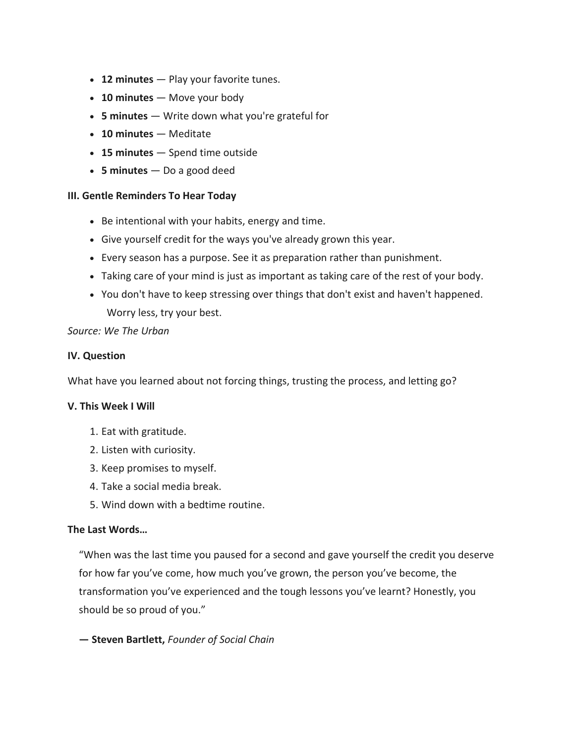- **12 minutes** Play your favorite tunes.
- **10 minutes** Move your body
- **5 minutes** Write down what you're grateful for
- **10 minutes** Meditate
- **15 minutes** Spend time outside
- **5 minutes** Do a good deed

## **III. Gentle Reminders To Hear Today**

- Be intentional with your habits, energy and time.
- Give yourself credit for the ways you've already grown this year.
- Every season has a purpose. See it as preparation rather than punishment.
- Taking care of your mind is just as important as taking care of the rest of your body.
- You don't have to keep stressing over things that don't exist and haven't happened. Worry less, try your best.

## *Source: We The Urban*

## **IV. Question**

What have you learned about not forcing things, trusting the process, and letting go?

## **V. This Week I Will**

- 1. Eat with gratitude.
- 2. Listen with curiosity.
- 3. Keep promises to myself.
- 4. Take a social media break.
- 5. Wind down with a bedtime routine.

## **The Last Words…**

"When was the last time you paused for a second and gave yourself the credit you deserve for how far you've come, how much you've grown, the person you've become, the transformation you've experienced and the tough lessons you've learnt? Honestly, you should be so proud of you."

## **— Steven Bartlett,** *Founder of Social Chain*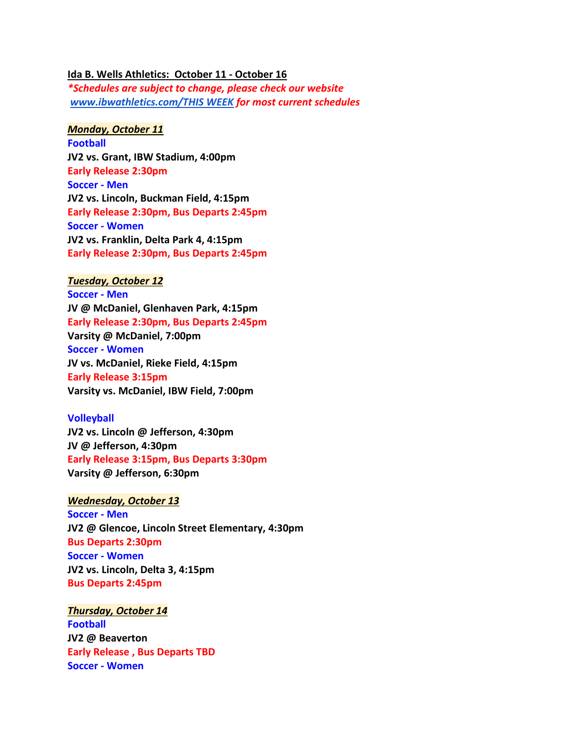#### **Ida B. Wells Athletics: October 11 - October 16**

*\*Schedules are subject to change, please check our website [www.ibwathletics.com/THIS WEEK](https://www.ibwathletics.com/page/show/3803298-this-week) for most current schedules*

#### *Monday, October 11*

**Football JV2 vs. Grant, IBW Stadium, 4:00pm Early Release 2:30pm Soccer - Men JV2 vs. Lincoln, Buckman Field, 4:15pm Early Release 2:30pm, Bus Departs 2:45pm Soccer - Women JV2 vs. Franklin, Delta Park 4, 4:15pm Early Release 2:30pm, Bus Departs 2:45pm**

#### *Tuesday, October 12*

**Soccer - Men JV @ McDaniel, Glenhaven Park, 4:15pm Early Release 2:30pm, Bus Departs 2:45pm Varsity @ McDaniel, 7:00pm Soccer - Women JV vs. McDaniel, Rieke Field, 4:15pm Early Release 3:15pm Varsity vs. McDaniel, IBW Field, 7:00pm**

#### **Volleyball**

**JV2 vs. Lincoln @ Jefferson, 4:30pm JV @ Jefferson, 4:30pm Early Release 3:15pm, Bus Departs 3:30pm Varsity @ Jefferson, 6:30pm**

#### *Wednesday, October 13*

**Soccer - Men JV2 @ Glencoe, Lincoln Street Elementary, 4:30pm Bus Departs 2:30pm Soccer - Women JV2 vs. Lincoln, Delta 3, 4:15pm Bus Departs 2:45pm**

#### *Thursday, October 14*

**Football JV2 @ Beaverton Early Release , Bus Departs TBD Soccer - Women**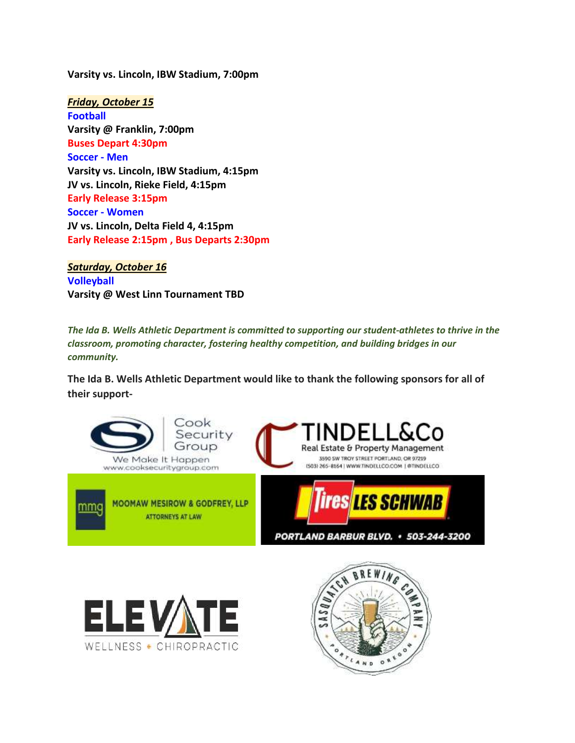**Varsity vs. Lincoln, IBW Stadium, 7:00pm**

*Friday, October 15* **Football Varsity @ Franklin, 7:00pm Buses Depart 4:30pm Soccer - Men Varsity vs. Lincoln, IBW Stadium, 4:15pm JV vs. Lincoln, Rieke Field, 4:15pm Early Release 3:15pm Soccer - Women JV vs. Lincoln, Delta Field 4, 4:15pm Early Release 2:15pm , Bus Departs 2:30pm**

*Saturday, October 16* **Volleyball Varsity @ West Linn Tournament TBD**

*The Ida B. Wells Athletic Department is committed to supporting our student-athletes to thrive in the classroom, promoting character, fostering healthy competition, and building bridges in our community.*

**The Ida B. Wells Athletic Department would like to thank the following sponsors for all of their support-**